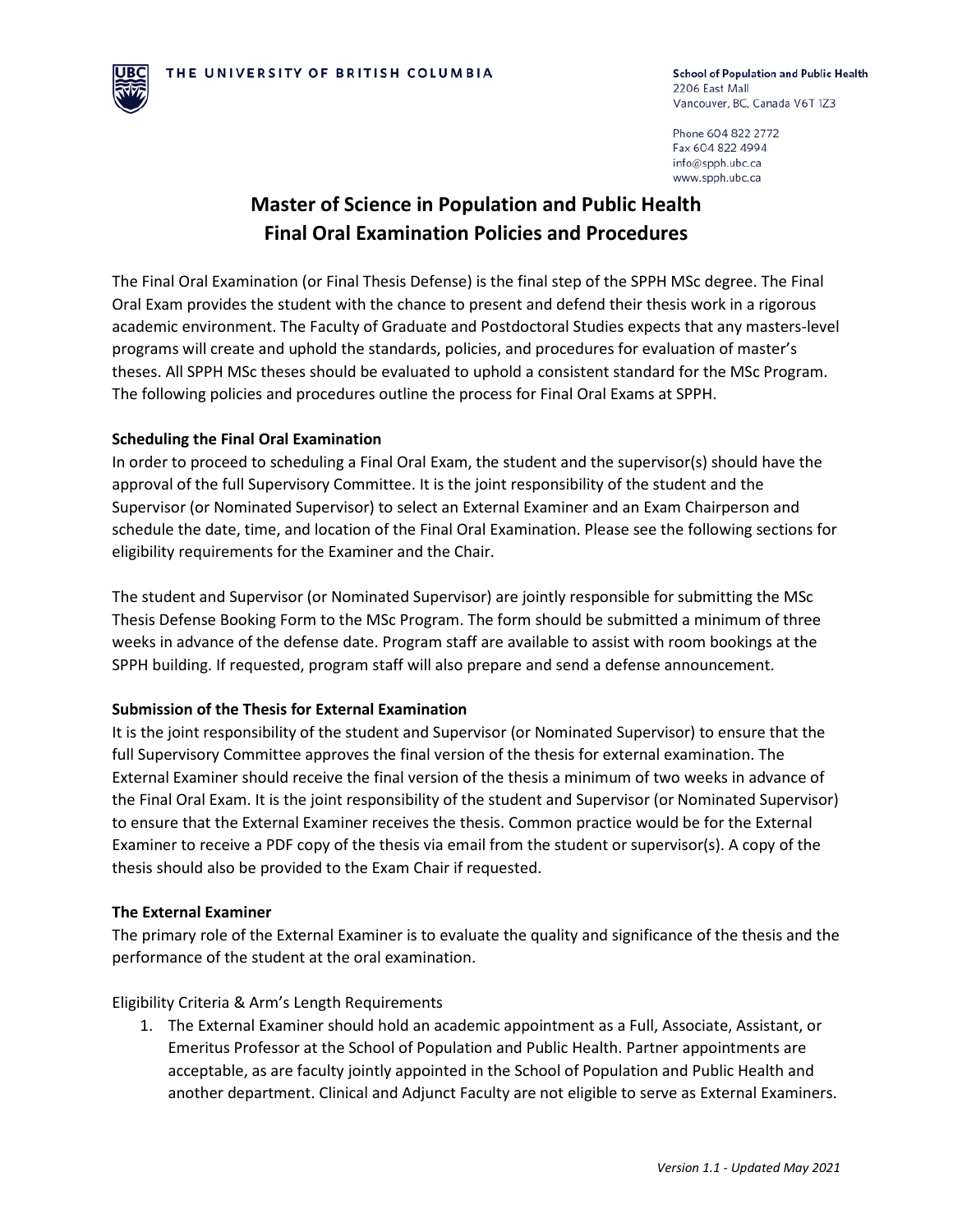

Phone 604 822 2772 Fax 604 822 4994 info@spph.ubc.ca www.spph.ubc.ca

# **Master of Science in Population and Public Health Final Oral Examination Policies and Procedures**

The Final Oral Examination (or Final Thesis Defense) is the final step of the SPPH MSc degree. The Final Oral Exam provides the student with the chance to present and defend their thesis work in a rigorous academic environment. The Faculty of Graduate and Postdoctoral Studies expects that any masters-level programs will create and uphold the standards, policies, and procedures for evaluation of master's theses. All SPPH MSc theses should be evaluated to uphold a consistent standard for the MSc Program. The following policies and procedures outline the process for Final Oral Exams at SPPH.

# **Scheduling the Final Oral Examination**

In order to proceed to scheduling a Final Oral Exam, the student and the supervisor(s) should have the approval of the full Supervisory Committee. It is the joint responsibility of the student and the Supervisor (or Nominated Supervisor) to select an External Examiner and an Exam Chairperson and schedule the date, time, and location of the Final Oral Examination. Please see the following sections for eligibility requirements for the Examiner and the Chair.

The student and Supervisor (or Nominated Supervisor) are jointly responsible for submitting the MSc Thesis Defense Booking Form to the MSc Program. The form should be submitted a minimum of three weeks in advance of the defense date. Program staff are available to assist with room bookings at the SPPH building. If requested, program staff will also prepare and send a defense announcement.

# **Submission of the Thesis for External Examination**

It is the joint responsibility of the student and Supervisor (or Nominated Supervisor) to ensure that the full Supervisory Committee approves the final version of the thesis for external examination. The External Examiner should receive the final version of the thesis a minimum of two weeks in advance of the Final Oral Exam. It is the joint responsibility of the student and Supervisor (or Nominated Supervisor) to ensure that the External Examiner receives the thesis. Common practice would be for the External Examiner to receive a PDF copy of the thesis via email from the student or supervisor(s). A copy of the thesis should also be provided to the Exam Chair if requested.

### **The External Examiner**

The primary role of the External Examiner is to evaluate the quality and significance of the thesis and the performance of the student at the oral examination.

Eligibility Criteria & Arm's Length Requirements

1. The External Examiner should hold an academic appointment as a Full, Associate, Assistant, or Emeritus Professor at the School of Population and Public Health. Partner appointments are acceptable, as are faculty jointly appointed in the School of Population and Public Health and another department. Clinical and Adjunct Faculty are not eligible to serve as External Examiners.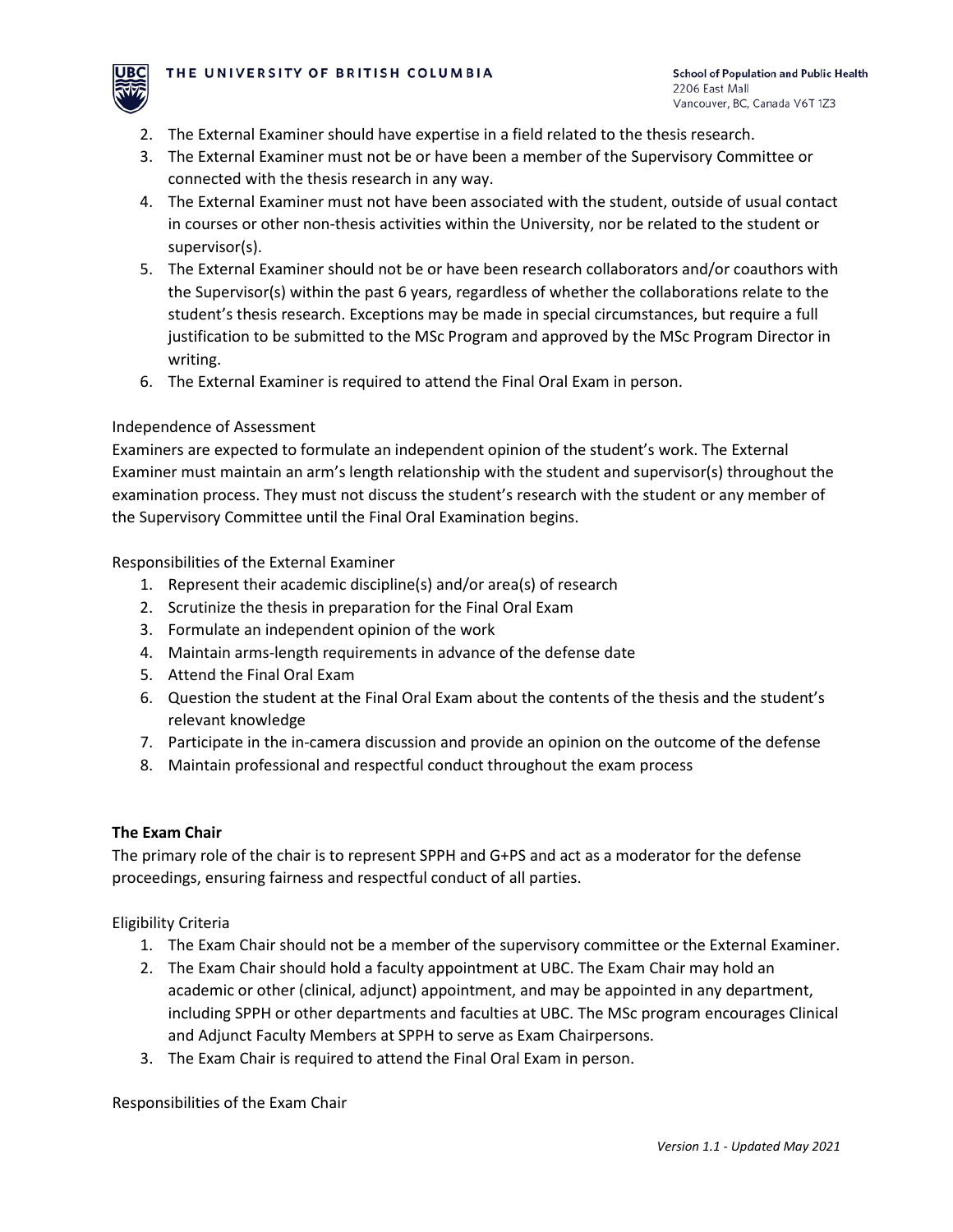

- 2. The External Examiner should have expertise in a field related to the thesis research.
- 3. The External Examiner must not be or have been a member of the Supervisory Committee or connected with the thesis research in any way.
- 4. The External Examiner must not have been associated with the student, outside of usual contact in courses or other non-thesis activities within the University, nor be related to the student or supervisor(s).
- 5. The External Examiner should not be or have been research collaborators and/or coauthors with the Supervisor(s) within the past 6 years, regardless of whether the collaborations relate to the student's thesis research. Exceptions may be made in special circumstances, but require a full justification to be submitted to the MSc Program and approved by the MSc Program Director in writing.
- 6. The External Examiner is required to attend the Final Oral Exam in person.

# Independence of Assessment

Examiners are expected to formulate an independent opinion of the student's work. The External Examiner must maintain an arm's length relationship with the student and supervisor(s) throughout the examination process. They must not discuss the student's research with the student or any member of the Supervisory Committee until the Final Oral Examination begins.

Responsibilities of the External Examiner

- 1. Represent their academic discipline(s) and/or area(s) of research
- 2. Scrutinize the thesis in preparation for the Final Oral Exam
- 3. Formulate an independent opinion of the work
- 4. Maintain arms-length requirements in advance of the defense date
- 5. Attend the Final Oral Exam
- 6. Question the student at the Final Oral Exam about the contents of the thesis and the student's relevant knowledge
- 7. Participate in the in-camera discussion and provide an opinion on the outcome of the defense
- 8. Maintain professional and respectful conduct throughout the exam process

# **The Exam Chair**

The primary role of the chair is to represent SPPH and G+PS and act as a moderator for the defense proceedings, ensuring fairness and respectful conduct of all parties.

Eligibility Criteria

- 1. The Exam Chair should not be a member of the supervisory committee or the External Examiner.
- 2. The Exam Chair should hold a faculty appointment at UBC. The Exam Chair may hold an academic or other (clinical, adjunct) appointment, and may be appointed in any department, including SPPH or other departments and faculties at UBC. The MSc program encourages Clinical and Adjunct Faculty Members at SPPH to serve as Exam Chairpersons.
- 3. The Exam Chair is required to attend the Final Oral Exam in person.

Responsibilities of the Exam Chair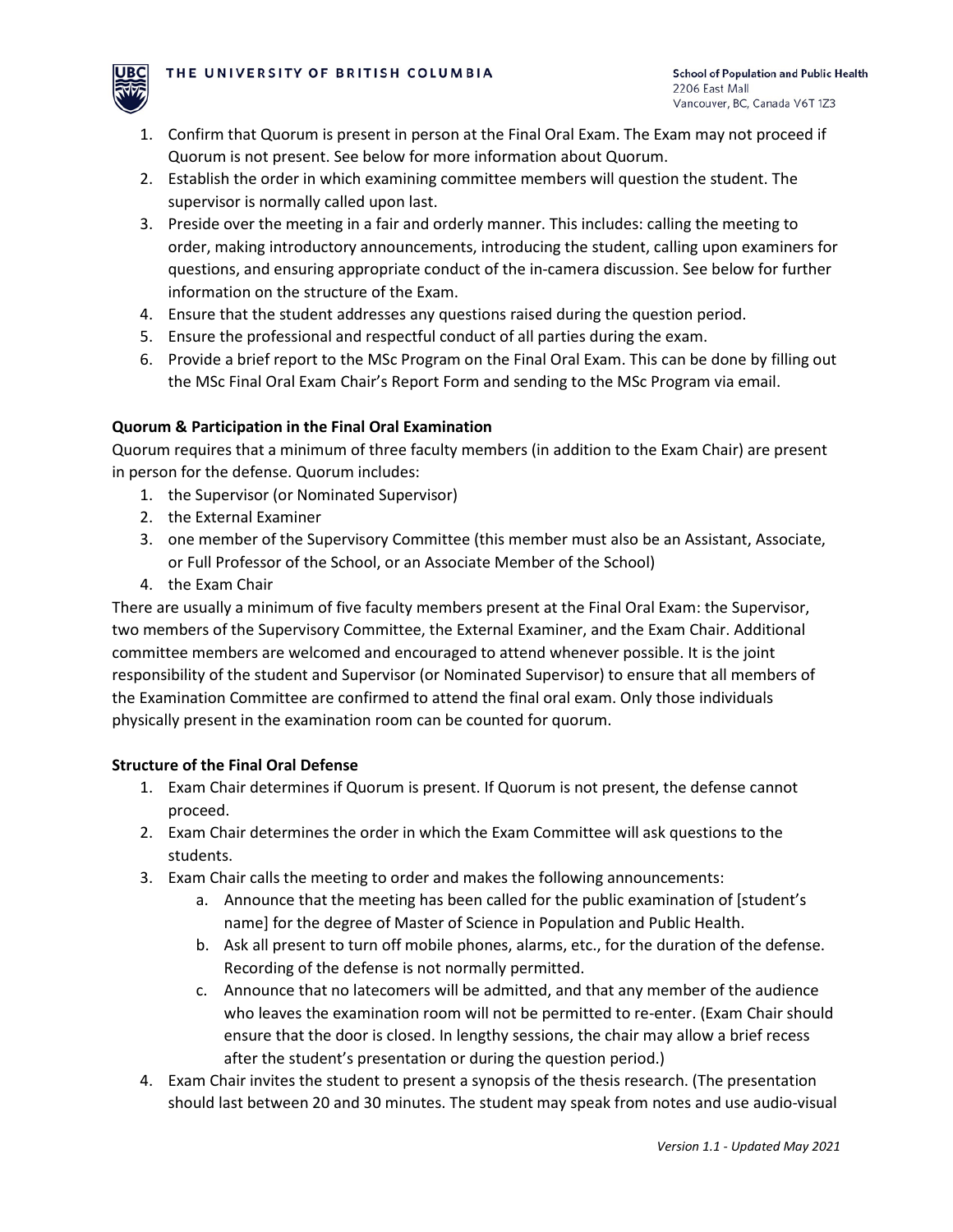

- 1. Confirm that Quorum is present in person at the Final Oral Exam. The Exam may not proceed if Quorum is not present. See below for more information about Quorum.
- 2. Establish the order in which examining committee members will question the student. The supervisor is normally called upon last.
- 3. Preside over the meeting in a fair and orderly manner. This includes: calling the meeting to order, making introductory announcements, introducing the student, calling upon examiners for questions, and ensuring appropriate conduct of the in-camera discussion. See below for further information on the structure of the Exam.
- 4. Ensure that the student addresses any questions raised during the question period.
- 5. Ensure the professional and respectful conduct of all parties during the exam.
- 6. Provide a brief report to the MSc Program on the Final Oral Exam. This can be done by filling out the MSc Final Oral Exam Chair's Report Form and sending to the MSc Program via email.

# **Quorum & Participation in the Final Oral Examination**

Quorum requires that a minimum of three faculty members (in addition to the Exam Chair) are present in person for the defense. Quorum includes:

- 1. the Supervisor (or Nominated Supervisor)
- 2. the External Examiner
- 3. one member of the Supervisory Committee (this member must also be an Assistant, Associate, or Full Professor of the School, or an Associate Member of the School)
- 4. the Exam Chair

There are usually a minimum of five faculty members present at the Final Oral Exam: the Supervisor, two members of the Supervisory Committee, the External Examiner, and the Exam Chair. Additional committee members are welcomed and encouraged to attend whenever possible. It is the joint responsibility of the student and Supervisor (or Nominated Supervisor) to ensure that all members of the Examination Committee are confirmed to attend the final oral exam. Only those individuals physically present in the examination room can be counted for quorum.

# **Structure of the Final Oral Defense**

- 1. Exam Chair determines if Quorum is present. If Quorum is not present, the defense cannot proceed.
- 2. Exam Chair determines the order in which the Exam Committee will ask questions to the students.
- 3. Exam Chair calls the meeting to order and makes the following announcements:
	- a. Announce that the meeting has been called for the public examination of [student's name] for the degree of Master of Science in Population and Public Health.
	- b. Ask all present to turn off mobile phones, alarms, etc., for the duration of the defense. Recording of the defense is not normally permitted.
	- c. Announce that no latecomers will be admitted, and that any member of the audience who leaves the examination room will not be permitted to re-enter. (Exam Chair should ensure that the door is closed. In lengthy sessions, the chair may allow a brief recess after the student's presentation or during the question period.)
- 4. Exam Chair invites the student to present a synopsis of the thesis research. (The presentation should last between 20 and 30 minutes. The student may speak from notes and use audio-visual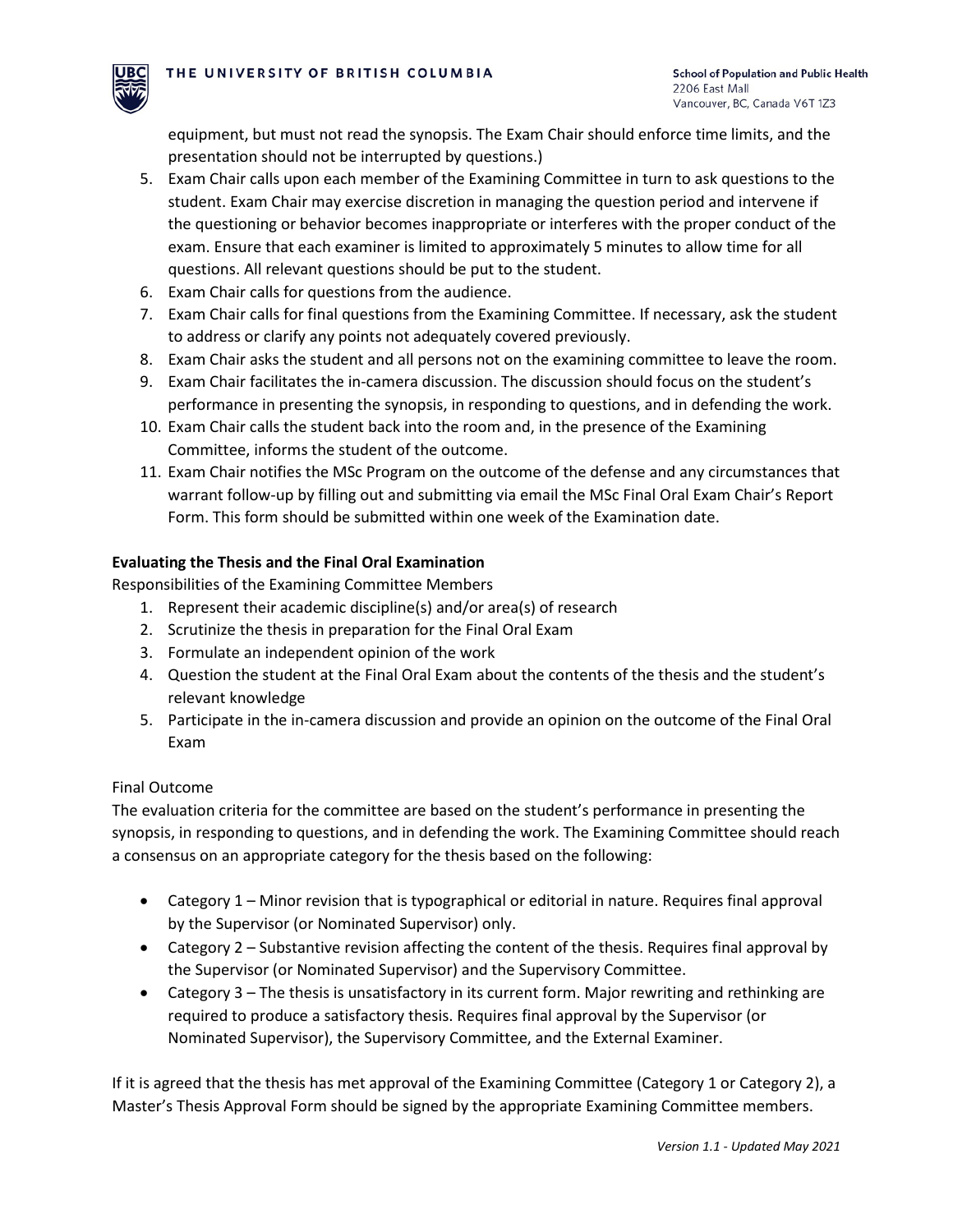

equipment, but must not read the synopsis. The Exam Chair should enforce time limits, and the presentation should not be interrupted by questions.)

- 5. Exam Chair calls upon each member of the Examining Committee in turn to ask questions to the student. Exam Chair may exercise discretion in managing the question period and intervene if the questioning or behavior becomes inappropriate or interferes with the proper conduct of the exam. Ensure that each examiner is limited to approximately 5 minutes to allow time for all questions. All relevant questions should be put to the student.
- 6. Exam Chair calls for questions from the audience.
- 7. Exam Chair calls for final questions from the Examining Committee. If necessary, ask the student to address or clarify any points not adequately covered previously.
- 8. Exam Chair asks the student and all persons not on the examining committee to leave the room.
- 9. Exam Chair facilitates the in-camera discussion. The discussion should focus on the student's performance in presenting the synopsis, in responding to questions, and in defending the work.
- 10. Exam Chair calls the student back into the room and, in the presence of the Examining Committee, informs the student of the outcome.
- 11. Exam Chair notifies the MSc Program on the outcome of the defense and any circumstances that warrant follow-up by filling out and submitting via email the MSc Final Oral Exam Chair's Report Form. This form should be submitted within one week of the Examination date.

# **Evaluating the Thesis and the Final Oral Examination**

Responsibilities of the Examining Committee Members

- 1. Represent their academic discipline(s) and/or area(s) of research
- 2. Scrutinize the thesis in preparation for the Final Oral Exam
- 3. Formulate an independent opinion of the work
- 4. Question the student at the Final Oral Exam about the contents of the thesis and the student's relevant knowledge
- 5. Participate in the in-camera discussion and provide an opinion on the outcome of the Final Oral Exam

# Final Outcome

The evaluation criteria for the committee are based on the student's performance in presenting the synopsis, in responding to questions, and in defending the work. The Examining Committee should reach a consensus on an appropriate category for the thesis based on the following:

- Category 1 Minor revision that is typographical or editorial in nature. Requires final approval by the Supervisor (or Nominated Supervisor) only.
- Category 2 Substantive revision affecting the content of the thesis. Requires final approval by the Supervisor (or Nominated Supervisor) and the Supervisory Committee.
- Category 3 The thesis is unsatisfactory in its current form. Major rewriting and rethinking are required to produce a satisfactory thesis. Requires final approval by the Supervisor (or Nominated Supervisor), the Supervisory Committee, and the External Examiner.

If it is agreed that the thesis has met approval of the Examining Committee (Category 1 or Category 2), a Master's Thesis Approval Form should be signed by the appropriate Examining Committee members.